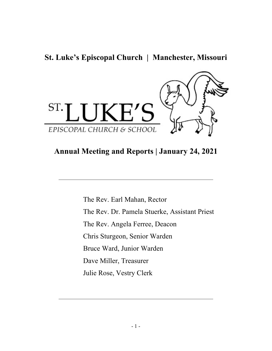**St. Luke's Episcopal Church | Manchester, Missouri**



# **Annual Meeting and Reports | January 24, 2021**

\_\_\_\_\_\_\_\_\_\_\_\_\_\_\_\_\_\_\_\_\_\_\_\_\_\_\_\_\_\_\_\_\_\_\_\_\_\_\_\_\_\_\_\_\_\_\_\_\_\_\_\_\_\_\_\_\_\_

The Rev. Earl Mahan, Rector The Rev. Dr. Pamela Stuerke, Assistant Priest The Rev. Angela Ferree, Deacon Chris Sturgeon, Senior Warden Bruce Ward, Junior Warden Dave Miller, Treasurer Julie Rose, Vestry Clerk

\_\_\_\_\_\_\_\_\_\_\_\_\_\_\_\_\_\_\_\_\_\_\_\_\_\_\_\_\_\_\_\_\_\_\_\_\_\_\_\_\_\_\_\_\_\_\_\_\_\_\_\_\_\_\_\_\_\_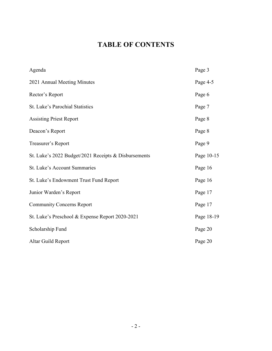# **TABLE OF CONTENTS**

| Agenda                                               | Page 3     |
|------------------------------------------------------|------------|
| 2021 Annual Meeting Minutes                          | Page 4-5   |
| Rector's Report                                      | Page 6     |
| St. Luke's Parochial Statistics                      | Page 7     |
| <b>Assisting Priest Report</b>                       | Page 8     |
| Deacon's Report                                      | Page 8     |
| Treasurer's Report                                   | Page 9     |
| St. Luke's 2022 Budget/2021 Receipts & Disbursements | Page 10-15 |
| St. Luke's Account Summaries                         | Page 16    |
| St. Luke's Endowment Trust Fund Report               | Page 16    |
| Junior Warden's Report                               | Page 17    |
| <b>Community Concerns Report</b>                     | Page 17    |
| St. Luke's Preschool & Expense Report 2020-2021      | Page 18-19 |
| Scholarship Fund                                     | Page 20    |
| Altar Guild Report                                   | Page 20    |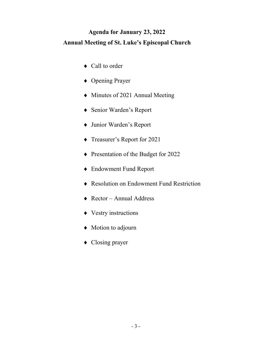# **Agenda for January 23, 2022 Annual Meeting of St. Luke's Episcopal Church**

- ♦ Call to order
- ♦ Opening Prayer
- ♦ Minutes of 2021 Annual Meeting
- ♦ Senior Warden's Report
- ♦ Junior Warden's Report
- ♦ Treasurer's Report for 2021
- ♦ Presentation of the Budget for 2022
- ♦ Endowment Fund Report
- ♦ Resolution on Endowment Fund Restriction
- ♦ Rector Annual Address
- ♦ Vestry instructions
- ♦ Motion to adjourn
- ♦ Closing prayer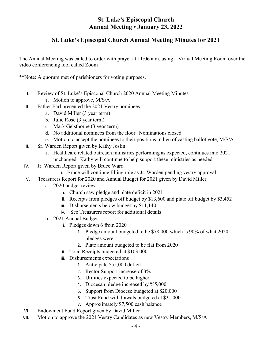## **St. Luke's Episcopal Church Annual Meeting • January 23, 2022**

## **St. Luke's Episcopal Church Annual Meeting Minutes for 2021**

The Annual Meeting was called to order with prayer at 11:06 a.m. using a Virtual Meeting Room over the video conferencing tool called Zoom

\*\*Note: A quorum met of parishioners for voting purposes.

- I. Review of St. Luke's Episcopal Church 2020 Annual Meeting Minutes
	- a. Motion to approve, M/S/A
- II. Father Earl presented the 2021 Vestry nominees
	- a. David Miller (3 year term)
	- b. Julie Rose (3 year term)
	- c. Mark Gelsthorpe (3 year term)
	- d. No additional nominees from the floor. Nominations closed
	- e. Motion to accept the nominees to their positions in lieu of casting ballot vote, M/S/A
- III. Sr. Warden Report given by Kathy Joslin
	- a. Healthcare related outreach ministries performing as expected, continues into 2021 unchanged. Kathy will continue to help support these ministries as needed
- IV. Jr. Warden Report given by Bruce Ward
	- i. Bruce will continue filling role as Jr. Warden pending vestry approval
- V. Treasurers Report for 2020 and Annual Budget for 2021 given by David Miller
	- a. 2020 budget review
		- i. Church saw pledge and plate deficit in 2021
		- ii. Receipts from pledges off budget by \$13,600 and plate off budget by \$3,452
		- iii. Disbursements below budget by \$11,140
		- iv. See Treasurers report for additional details
	- b. 2021 Annual Budget
		- i. Pledges down 6 from 2020
			- 1. Pledge amount budgeted to be \$78,000 which is 90% of what 2020 pledges were
			- 2. Plate amount budgeted to be flat from 2020
		- ii. Total Receipts budgeted at \$103,000
		- iii. Disbursements expectations
			- 1. Anticipate \$55,000 deficit
			- 2. Rector Support increase of 3%
			- 3. Utilities expected to be higher
			- 4. Diocesan pledge increased by %5,000
			- 5. Support from Diocese budgeted at \$20,000
			- 6. Trust Fund withdrawals budgeted at \$31,000
			- 7. Approximately \$7,500 cash balance
- VI. Endowment Fund Report given by David Miller
- VII. Motion to approve the 2021 Vestry Candidates as new Vestry Members, M/S/A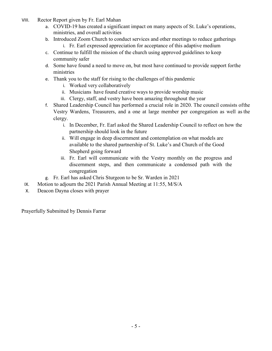- VIII. Rector Report given by Fr. Earl Mahan
	- a. COVID-19 has created a significant impact on many aspects of St. Luke's operations, ministries, and overall activities
	- b. Introduced Zoom Church to conduct services and other meetings to reduce gatherings
		- i. Fr. Earl expressed appreciation for acceptance of this adaptive medium
	- c. Continue to fulfill the mission of the church using approved guidelines to keep community safer
	- d. Some have found a need to move on, but most have continued to provide support forthe ministries
	- e. Thank you to the staff for rising to the challenges of this pandemic
		- i. Worked very collaboratively
		- ii. Musicians have found creative ways to provide worship music
		- iii. Clergy, staff, and vestry have been amazing throughout the year
	- f. Shared Leadership Council has performed a crucial role in 2020. The council consists ofthe Vestry Wardens, Treasurers, and a one at large member per congregation as well as the clergy.
		- i. In December, Fr. Earl asked the Shared Leadership Council to reflect on how the partnership should look in the future
		- ii. Will engage in deep discernment and contemplation on what models are available to the shared partnership of St. Luke's and Church of the Good Shepherd going forward
		- iii. Fr. Earl will communicate with the Vestry monthly on the progress and discernment steps, and then communicate a condensed path with the congregation
	- g. Fr. Earl has asked Chris Sturgeon to be Sr. Warden in 2021
- IX. Motion to adjourn the 2021 Parish Annual Meeting at 11:55, M/S/A
- X. Deacon Dayna closes with prayer

Prayerfully Submitted by Dennis Farrar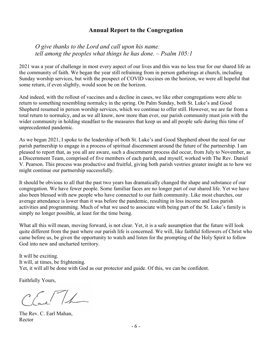### **Annual Report to the Congregation**

*O give thanks to the Lord and call upon his name; tell among the peoples what things he has done. – Psalm 105:1*

2021 was a year of challenge in most every aspect of our lives and this was no less true for our shared life as the community of faith. We began the year still refraining from in person gatherings at church, including Sunday worship services, but with the prospect of COVID vaccines on the horizon, we were all hopeful that some return, if even slightly, would soon be on the horizon.

And indeed, with the rollout of vaccines and a decline in cases, we like other congregations were able to return to something resembling normalcy in the spring. On Palm Sunday, both St. Luke's and Good Shepherd resumed in person worship services, which we continue to offer still. However, we are far from a total return to normalcy, and as we all know, now more than ever, our parish community must join with the wider community in holding steadfast to the measures that keep us and all people safe during this time of unprecedented pandemic.

As we began 2021, I spoke to the leadership of both St. Luke's and Good Shepherd about the need for our parish partnership to engage in a process of spiritual discernment around the future of the partnership. I am pleased to report that, as you all are aware, such a discernment process did occur, from July to November, as a Discernment Team, comprised of five members of each parish, and myself, worked with The Rev. Daniel V. Pearson. This process was productive and fruitful, giving both parish vestries greater insight as to how we might continue our partnership successfully.

It should be obvious to all that the past two years has dramatically changed the shape and substance of our congregation. We have fewer people. Some familiar faces are no longer part of our shared life. Yet we have also been blessed with new people who have connected to our faith community. Like most churches, our average attendance is lower than it was before the pandemic, resulting in less income and less parish activities and programming. Much of what we used to associate with being part of the St. Luke's family is simply no longer possible, at least for the time being.

What all this will mean, moving forward, is not clear. Yet, it is a safe assumption that the future will look quite different from the past where our parish life is concerned. We will, like faithful followers of Christ who came before us, be given the opportunity to watch and listen for the prompting of the Holy Spirit to follow God into new and uncharted territory.

It will be exciting. It will, at times, be frightening. Yet, it will all be done with God as our protector and guide. Of this, we can be confident.

Faithfully Yours,

 $ETL$ 

The Rev. C. Earl Mahan, Rector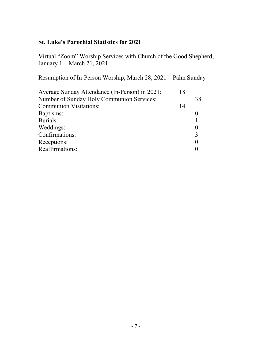# **St. Luke's Parochial Statistics for 2021**

Virtual "Zoom" Worship Services with Church of the Good Shepherd, January 1 – March 21, 2021

Resumption of In-Person Worship, March 28, 2021 – Palm Sunday

| Average Sunday Attendance (In-Person) in 2021: | 18 |               |
|------------------------------------------------|----|---------------|
| Number of Sunday Holy Communion Services:      |    | 38            |
| <b>Communion Visitations:</b>                  | 14 |               |
| Baptisms:                                      |    |               |
| Burials:                                       |    |               |
| Weddings:                                      |    |               |
| Confirmations:                                 |    | $\mathcal{R}$ |
| Receptions:                                    |    |               |
| Reaffirmations:                                |    |               |
|                                                |    |               |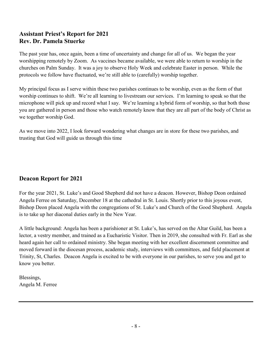# **Assistant Priest's Report for 2021 Rev. Dr. Pamela Stuerke**

The past year has, once again, been a time of uncertainty and change for all of us. We began the year worshipping remotely by Zoom. As vaccines became available, we were able to return to worship in the churches on Palm Sunday. It was a joy to observe Holy Week and celebrate Easter in person. While the protocols we follow have fluctuated, we're still able to (carefully) worship together.

My principal focus as I serve within these two parishes continues to be worship, even as the form of that worship continues to shift. We're all learning to livestream our services. I'm learning to speak so that the microphone will pick up and record what I say. We're learning a hybrid form of worship, so that both those you are gathered in person and those who watch remotely know that they are all part of the body of Christ as we together worship God.

As we move into 2022, I look forward wondering what changes are in store for these two parishes, and trusting that God will guide us through this time

# **Deacon Report for 2021**

For the year 2021, St. Luke's and Good Shepherd did not have a deacon. However, Bishop Deon ordained Angela Ferree on Saturday, December 18 at the cathedral in St. Louis. Shortly prior to this joyous event, Bishop Deon placed Angela with the congregations of St. Luke's and Church of the Good Shepherd. Angela is to take up her diaconal duties early in the New Year.

A little background: Angela has been a parishioner at St. Luke's, has served on the Altar Guild, has been a lector, a vestry member, and trained as a Eucharistic Visitor. Then in 2019, she consulted with Fr. Earl as she heard again her call to ordained ministry. She began meeting with her excellent discernment committee and moved forward in the diocesan process, academic study, interviews with committees, and field placement at Trinity, St, Charles. Deacon Angela is excited to be with everyone in our parishes, to serve you and get to know you better.

Blessings, Angela M. Ferree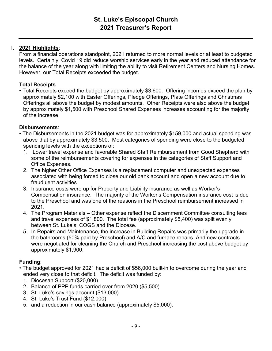#### I. **2021 Highlights**:

From a financial operations standpoint, 2021 returned to more normal levels or at least to budgeted levels. Certainly, Covid 19 did reduce worship services early in the year and reduced attendance for the balance of the year along with limiting the ability to visit Retirement Centers and Nursing Homes. However, our Total Receipts exceeded the budget.

### **Total Receipts**

• Total Receipts exceed the budget by approximately \$3,600. Offering incomes exceed the plan by approximately \$2,100 with Easter Offerings, Pledge Offerings, Plate Offerings and Christmas Offerings all above the budget by modest amounts. Other Receipts were also above the budget by approximately \$1,500 with Preschool Shared Expenses increases accounting for the majority of the increase.

#### **Disbursements**:

- The Disbursements in the 2021 budget was for approximately \$159,000 and actual spending was above that by approximately \$3,500. Most categories of spending were close to the budgeted spending levels with the exceptions of:
	- 1. Lower travel expense and favorable Shared Staff Reimbursement from Good Shepherd with some of the reimbursements covering for expenses in the categories of Staff Support and Office Expenses.
	- 2. The higher Other Office Expenses is a replacement computer and unexpected expenses associated with being forced to close our old bank account and open a new account due to fraudulent activities
	- 3. Insurance costs were up for Property and Liability insurance as well as Worker's Compensation insurance. The majority of the Worker's Compensation insurance cost is due to the Preschool and was one of the reasons in the Preschool reimbursement increased in 2021.
	- 4. The Program Materials Other expense reflect the Discernment Committee consulting fees and travel expenses of \$1,800. The total fee (approximately \$5,400) was split evenly between St. Luke's, COGS and the Diocese.
	- 5. In Repairs and Maintenance, the increase in Building Repairs was primarily the upgrade in the bathrooms (50% paid by Preschool) and A/C and furnace repairs. And new contracts were negotiated for cleaning the Church and Preschool increasing the cost above budget by approximately \$1,900.

### **Funding**:

- The budget approved for 2021 had a deficit of \$56,000 built-in to overcome during the year and ended very close to that deficit. The deficit was funded by:
	- 1. Diocesan Support (\$20,000)
	- 2. Balance of PPP funds carried over from 2020 (\$5,500)
	- 3. St. Luke's savings account (\$13,000)
	- 4. St. Luke's Trust Fund (\$12,000)
	- 5. and a reduction in our cash balance (approximately \$5,000).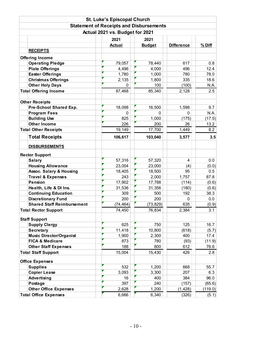|                                    |  | <b>St. Luke's Episcopal Church</b> |                                                |                   |         |  |  |  |  |
|------------------------------------|--|------------------------------------|------------------------------------------------|-------------------|---------|--|--|--|--|
|                                    |  |                                    | <b>Statement of Receipts and Disbursements</b> |                   |         |  |  |  |  |
| Actual 2021 vs. Budget for 2021    |  |                                    |                                                |                   |         |  |  |  |  |
|                                    |  | 2021                               | 2021                                           |                   |         |  |  |  |  |
|                                    |  | <b>Actual</b>                      | <b>Budget</b>                                  | <b>Difference</b> | % Diff  |  |  |  |  |
| <b>RECEIPTS</b>                    |  |                                    |                                                |                   |         |  |  |  |  |
| <b>Offering Income</b>             |  |                                    |                                                |                   |         |  |  |  |  |
| <b>Operating Pledge</b>            |  | 79,057                             | 78,440                                         | 617               | 0.8     |  |  |  |  |
| <b>Plate Offerings</b>             |  | 4,496                              | 4,000                                          | 496               | 12.4    |  |  |  |  |
| <b>Easter Offerings</b>            |  | 1,780                              | 1,000                                          | 780               | 78.0    |  |  |  |  |
| <b>Christmas Offerings</b>         |  | 2,135                              | 1,800                                          | 335               | 18.6    |  |  |  |  |
| <b>Other Holy Days</b>             |  | 0                                  | 100                                            | (100)             | N.A.    |  |  |  |  |
| <b>Total Offering Income</b>       |  | 87,468                             | 85,340                                         | 2,128             | 2.5     |  |  |  |  |
|                                    |  |                                    |                                                |                   |         |  |  |  |  |
| <b>Other Receipts</b>              |  |                                    |                                                |                   |         |  |  |  |  |
| Pre-School Shared Exp.             |  | 18,098                             | 16,500                                         | 1,598             | 9.7     |  |  |  |  |
| <b>Program Fees</b>                |  | 0                                  | 0                                              | 0                 | N.A.    |  |  |  |  |
| <b>Building Use</b>                |  | 825                                | 1,000                                          | (175)             | (17.5)  |  |  |  |  |
| <b>Other Income</b>                |  | 226                                | 200                                            | 26                | 13.2    |  |  |  |  |
| <b>Total Other Receipts</b>        |  | 19,149                             | 17,700                                         | 1,449             | 8.2     |  |  |  |  |
| <b>Total Receipts</b>              |  | 106,617                            | 103,040                                        | 3,577             | 3.5     |  |  |  |  |
| <b>DISBURSEMENTS</b>               |  |                                    |                                                |                   |         |  |  |  |  |
|                                    |  |                                    |                                                |                   |         |  |  |  |  |
| <b>Rector Support</b>              |  |                                    |                                                |                   |         |  |  |  |  |
| <b>Salary</b>                      |  | 57,316                             | 57,320                                         | 4                 | 0.0     |  |  |  |  |
| <b>Housing Allowance</b>           |  | 23,004                             | 23,000                                         | (4)               | (0.0)   |  |  |  |  |
| <b>Assoc. Salary &amp; Housing</b> |  | 18,405                             | 18,500                                         | 95                | 0.5     |  |  |  |  |
| <b>Travel &amp; Expenses</b>       |  | 243                                | 2,000                                          | 1,757             | 87.8    |  |  |  |  |
| <b>Pension</b>                     |  | 17,902                             | 17,788                                         | (114)             | (0.6)   |  |  |  |  |
| Health, Life & DI Ins.             |  | 31,536                             | 31,356                                         | (180)             | (0.6)   |  |  |  |  |
| <b>Continuing Education</b>        |  | 309                                | 500                                            | 192               | 38.3    |  |  |  |  |
| <b>Discretionary Fund</b>          |  | 200                                | 200                                            | 0                 | $0.0\,$ |  |  |  |  |
| <b>Shared Staff Reimbursement</b>  |  | (74, 464)                          | (73, 829)                                      | 635               | (0.9)   |  |  |  |  |
| <b>Total Rector Support</b>        |  | 74,450                             | 76,834                                         | 2,384             | 3.1     |  |  |  |  |
| <b>Staff Support</b>               |  |                                    |                                                |                   |         |  |  |  |  |
| <b>Supply Clergy</b>               |  | 625                                | 750                                            | 125               | 16.7    |  |  |  |  |
| <b>Secretary</b>                   |  | 11,418                             | 10,800                                         | (618)             | (5.7)   |  |  |  |  |
| <b>Music Director/Organist</b>     |  | 1,900                              | 2,300                                          | 400               | 17.4    |  |  |  |  |
| <b>FICA &amp; Medicare</b>         |  | 873                                | 780                                            | (93)              | (11.9)  |  |  |  |  |
| <b>Other Staff Expenses</b>        |  | 188                                | 800                                            | 612               | 76.6    |  |  |  |  |
| <b>Total Staff Support</b>         |  | 15,004                             | 15,430                                         | 426               | 2.8     |  |  |  |  |
| <b>Office Expenses</b>             |  |                                    |                                                |                   |         |  |  |  |  |
| <b>Supplies</b>                    |  | 532                                | 1,200                                          | 668               | 55.7    |  |  |  |  |
| <b>Copier Lease</b>                |  | 3,093                              | 3,300                                          | 207               | 6.3     |  |  |  |  |
| Advertising                        |  | 16                                 | 400                                            | 384               | 96.0    |  |  |  |  |
| Postage                            |  | 397                                | 240                                            | (157)             | (65.6)  |  |  |  |  |
| <b>Other Office Expenses</b>       |  | 2,628                              | 1,200                                          | (1, 428)          | (119.0) |  |  |  |  |
| <b>Total Office Expenses</b>       |  | 6,666                              | 6,340                                          | (326)             | (5.1)   |  |  |  |  |
|                                    |  |                                    |                                                |                   |         |  |  |  |  |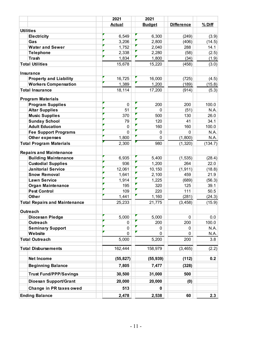|                                      | 2021      | 2021          |                   |          |
|--------------------------------------|-----------|---------------|-------------------|----------|
|                                      | Actual    | <b>Budget</b> | <b>Difference</b> | $%$ Diff |
| <b>Utilities</b>                     |           |               |                   |          |
| <b>Electricity</b>                   | 6,549     | 6,300         | (249)             | (3.9)    |
| Gas                                  | 3,206     | 2,800         | (406)             | (14.5)   |
| <b>Water and Sewer</b>               | 1,752     | 2,040         | 288               | 14.1     |
| <b>Telephone</b>                     | 2,338     | 2,280         | (58)              | (2.5)    |
| <b>Trash</b>                         | 1,834     | 1,800         | (34)              | (1.9)    |
| <b>Total Utilities</b>               | 15,678    | 15,220        | (458)             | (3.0)    |
| <b>Insurance</b>                     |           |               |                   |          |
| <b>Property and Liability</b>        | 16,725    | 16,000        | (725)             | (4.5)    |
| <b>Workers Compensation</b>          | 1,389     | 1,200         | (189)             | (15.8)   |
| <b>Total Insurance</b>               | 18,114    | 17,200        | (914)             | (5.3)    |
| <b>Program Materials</b>             |           |               |                   |          |
| <b>Program Supplies</b>              | 0         | 200           | 200               | 100.0    |
| <b>Altar Supplies</b>                | 51        | $\Omega$      | (51)              | N.A.     |
| <b>Music Supplies</b>                | 370       | 500           | 130               | 26.0     |
| <b>Sunday School</b>                 | 79        | 120           | 41                | 34.1     |
| <b>Adult Education</b>               | 0         | 160           | 160               | 100.0    |
| <b>Fee Support Programs</b>          | $\Omega$  | 0             | $\Omega$          | N.A.     |
| Other expenses                       | 1,800     | $\mathbf 0$   | (1,800)           | N.A.     |
| <b>Total Program Materials</b>       | 2,300     | 980           | (1, 320)          | (134.7)  |
| <b>Repairs and Maintenance</b>       |           |               |                   |          |
| <b>Building Maintenance</b>          | 6,935     | 5,400         | (1, 535)          | (28.4)   |
| <b>Custodial Supplies</b>            | 936       | 1,200         | 264               | 22.0     |
| <b>Janitorial Service</b>            | 12,061    | 10,150        | (1, 911)          | (18.8)   |
| <b>Snow Removal</b>                  | 1,641     | 2,100         | 459               | 21.9     |
| <b>Lawn Service</b>                  | 1,914     | 1,225         | (689)             | (56.3)   |
| <b>Organ Maintenance</b>             | 195       | 320           | 125               | 39.1     |
| <b>Pest Control</b>                  | 109       | 220           | 111               | 50.5     |
| <b>Other</b>                         | 1,441     | 1,160         | (281)             | (24.3)   |
| <b>Total Repairs and Maintenance</b> | 25,233    | 21,775        | (3, 458)          | (15.9)   |
| <b>Outreach</b>                      |           |               |                   |          |
| Diocesan Pledge                      | 5,000     | 5,000         | 0                 | 0.0      |
| <b>Outreach</b>                      | 0         | 200           | 200               | 100.0    |
| <b>Seminary Support</b>              | 0         | 0             | 0                 | N.A.     |
| Website                              | 0         | 0             | $\Omega$          | N.A.     |
| <b>Total Outreach</b>                | 5,000     | 5,200         | 200               | 3.8      |
| <b>Total Disbursements</b>           | 162,444   | 158,979       | (3, 465)          | (2.2)    |
| Net Income                           | (55, 827) | (55, 939)     | (112)             | 0.2      |
| <b>Beginning Balance</b>             | 7,805     | 7,477         | (328)             |          |
| <b>Trust Fund/PPP/Savings</b>        | 30,500    | 31,000        | 500               |          |
| Dioesan Support/Grant                | 20,000    | 20,000        | (0)               |          |
| Change in PR taxes owed              | 513       | 0             |                   |          |
| <b>Ending Balance</b>                | 2,478     | 2,538         | 60                | 2.3      |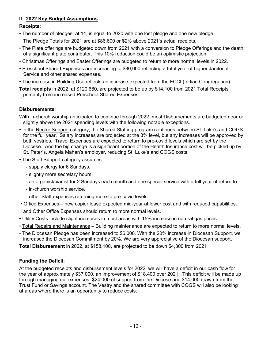#### **II. 2022 Key Budget Assumptions**

#### **Receipts**:

• The number of pledges, at 14, is equal to 2020 with one lost pledge and one new pledge.

The Pledge Totals for 2021 are at \$86,600 or \$2% above 2021's actual receipts.

- The Plate offerings are budgeted down from 2021 with a conversion to Pledge Offerings and the death of a significant plate contributor. This 10% reduction could be an optimistic projection.
- Christmas Offerings and Easter Offerings are budgeted to return to more normal levels in 2022.
- Preschool Shared Expenses are increasing to \$30,000 reflecting a total year of higher Janitorial Service and other shared expenses.
- The increase in Building Use reflects an increase expected from the FCCI (Indian Congregation).
- **Total receipts** in 2022, at \$120,680, are projected to be up by \$14,100 from 2021 Total Receipts primarily from increased Preschool Shared Expenses.

#### **Disbursements**:

With in-church worship anticipated to continue through 2022, most Disbursements are budgeted near or slightly above the 2021 spending levels with the following notable exceptions.

- In the Rector Support category, the Shared Staffing program continues between St. Luke's and COGS for the full year. Salary increases are projected at the 3% level, but any increases will be approved by both vestries. Travel Expenses are expected to return to pre-covid levels which are set by the Diocese. And the big change is a significant portion of the Health Insurance cost will be picked up by St. Peter's, Angela Mahan's employer, reducing St. Luke's and COGS costs.
- The Staff Support category assumes

- supply clergy for 6 Sundays.

- slightly more secretary hours
- an organist/pianist for 2 Sundays each month and one special service with a full year of return to
- in-church worship service.
- other Staff expenses returning more to pre-covid levels.
- Office Expenses new copier lease expected mid-year at lower cost and with reduced capabilities. and Other Office Expenses should return to more normal levels.
- Utility Costs include slight increases in most areas with 15% increase in natural gas prices.
- Total Repairs and Maintenance Building maintenance are expected to return to more normal levels.
- The Diocesan Pledge has been increased to \$6,000. With the 20% increase in Diocesan Support, we increased the Diocesan Commitment by 20%. We are very appreciative of the Diocesan support.

**Total Disbursement** in 2022, at \$158,100, are projected to be down \$4,300 from 2021

#### **Funding the Deficit**:

At the budgeted receipts and disbursement levels for 2022, we will have a deficit in our cash flow for the year of approximately \$37,000, an improvement of \$18,400 over 2021. This deficit will be made up through managing our expenses, \$24,000 of support from the Diocese and \$14,000 drawn from the Trust Fund or Savings account. The Vestry and the shared committee with COGS will also be looking at areas where there is an opportunity to reduce costs.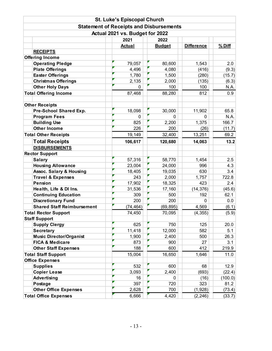|                                    | <b>St. Luke's Episcopal Church</b>             |    |               |                   |          |  |  |  |  |  |  |
|------------------------------------|------------------------------------------------|----|---------------|-------------------|----------|--|--|--|--|--|--|
|                                    | <b>Statement of Receipts and Disbursements</b> |    |               |                   |          |  |  |  |  |  |  |
| Actual 2021 vs. Budget for 2022    |                                                |    |               |                   |          |  |  |  |  |  |  |
|                                    | 2021<br>2022                                   |    |               |                   |          |  |  |  |  |  |  |
|                                    | <b>Actual</b>                                  |    | <b>Budget</b> | <b>Difference</b> | $%$ Diff |  |  |  |  |  |  |
| <b>RECEIPTS</b>                    |                                                |    |               |                   |          |  |  |  |  |  |  |
| <b>Offering Income</b>             |                                                |    |               |                   |          |  |  |  |  |  |  |
| <b>Operating Pledge</b>            | 79,057                                         |    | 80,600        | 1,543             | 2.0      |  |  |  |  |  |  |
| <b>Plate Offerings</b>             | 4,496                                          |    | 4,080         | (416)             | (9.3)    |  |  |  |  |  |  |
| <b>Easter Offerings</b>            | 1,780                                          |    | 1,500         | (280)             | (15.7)   |  |  |  |  |  |  |
| <b>Christmas Offerings</b>         | 2,135                                          |    | 2,000         | (135)             | (6.3)    |  |  |  |  |  |  |
| <b>Other Holy Days</b>             |                                                | 0  | 100           | 100               | N.A.     |  |  |  |  |  |  |
| <b>Total Offering Income</b>       | 87,468                                         |    | 88,280        | 812               | 0.9      |  |  |  |  |  |  |
| <b>Other Receipts</b>              |                                                |    |               |                   |          |  |  |  |  |  |  |
| Pre-School Shared Exp.             | 18,098                                         |    | 30,000        | 11,902            | 65.8     |  |  |  |  |  |  |
| <b>Program Fees</b>                |                                                | 0  | 0             | 0                 | N.A.     |  |  |  |  |  |  |
| <b>Building Use</b>                | 825                                            |    | 2,200         | 1,375             | 166.7    |  |  |  |  |  |  |
| <b>Other Income</b>                | 226                                            |    | 200           | (26)              | (11.7)   |  |  |  |  |  |  |
| <b>Total Other Receipts</b>        | 19,149                                         |    | 32,400        | 13,251            | 69.2     |  |  |  |  |  |  |
| <b>Total Receipts</b>              | 106,617                                        |    | 120,680       | 14,063            | $13.2$   |  |  |  |  |  |  |
| <b>DISBURSEMENTS</b>               |                                                |    |               |                   |          |  |  |  |  |  |  |
| <b>Rector Support</b>              |                                                |    |               |                   |          |  |  |  |  |  |  |
| <b>Salary</b>                      | 57,316                                         |    | 58,770        | 1,454             | 2.5      |  |  |  |  |  |  |
| <b>Housing Allowance</b>           | 23,004                                         |    | 24,000        | 996               | 4.3      |  |  |  |  |  |  |
| <b>Assoc. Salary &amp; Housing</b> | 18,405                                         |    | 19,035        | 630               | 3.4      |  |  |  |  |  |  |
| <b>Travel &amp; Expenses</b>       | 243                                            |    | 2,000         | 1,757             | 722.8    |  |  |  |  |  |  |
| <b>Pension</b>                     | 17,902                                         |    | 18,325        | 423               | 2.4      |  |  |  |  |  |  |
| Health, Life & DI Ins.             | 31,536                                         |    | 17,160        | (14, 376)         | (45.6)   |  |  |  |  |  |  |
| <b>Continuing Education</b>        | 309                                            |    | 500           | 192               | 62.1     |  |  |  |  |  |  |
| <b>Discretionary Fund</b>          | 200                                            |    | 200           | $\Omega$          | 0.0      |  |  |  |  |  |  |
| <b>Shared Staff Reimbursement</b>  | (74, 464)                                      |    | (69, 895)     | 4,569             | (6.1)    |  |  |  |  |  |  |
| <b>Total Rector Support</b>        | 74,450                                         |    | 70,095        | (4, 355)          | (5.9)    |  |  |  |  |  |  |
| <b>Staff Support</b>               |                                                |    |               |                   |          |  |  |  |  |  |  |
| <b>Supply Clergy</b>               | 625                                            |    | 750           | 125               | 20.0     |  |  |  |  |  |  |
| <b>Secretary</b>                   | 11,418                                         |    | 12,000        | 582               | 5.1      |  |  |  |  |  |  |
| <b>Music Director/Organist</b>     | 1,900                                          |    | 2,400         | 500               | 26.3     |  |  |  |  |  |  |
| <b>FICA &amp; Medicare</b>         | 873                                            |    | 900           | 27                | 3.1      |  |  |  |  |  |  |
| <b>Other Staff Expenses</b>        | 188                                            |    | 600           | 412               | 219.9    |  |  |  |  |  |  |
| <b>Total Staff Support</b>         | 15,004                                         |    | 16,650        | 1,646             | 11.0     |  |  |  |  |  |  |
| <b>Office Expenses</b>             |                                                |    |               |                   |          |  |  |  |  |  |  |
| <b>Supplies</b>                    | 532                                            |    | 600           | 68                | 12.9     |  |  |  |  |  |  |
| <b>Copier Lease</b>                | 3,093                                          |    | 2,400         | (693)             | (22.4)   |  |  |  |  |  |  |
| Advertising                        |                                                | 16 | 0             | (16)              | (100.0)  |  |  |  |  |  |  |
| Postage                            | 397                                            |    | 720           | 323               | 81.2     |  |  |  |  |  |  |
| <b>Other Office Expenses</b>       | 2,628                                          |    | 700           | (1,928)           | (73.4)   |  |  |  |  |  |  |
| <b>Total Office Expenses</b>       | 6,666                                          |    | 4,420         | (2, 246)          | (33.7)   |  |  |  |  |  |  |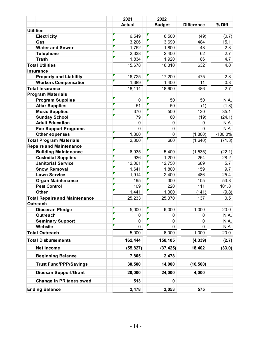|                                      | 2021          | 2022          |                   |             |
|--------------------------------------|---------------|---------------|-------------------|-------------|
|                                      | <b>Actual</b> | <b>Budget</b> | <b>Difference</b> | $%$ Diff    |
| <b>Utilities</b>                     |               |               |                   |             |
| <b>Electricity</b>                   | 6,549         | 6,500         | (49)              | (0.7)       |
| Gas                                  | 3,206         | 3,690         | 484               | 15.1        |
| <b>Water and Sewer</b>               | 1,752         | 1,800         | 48                | 2.8         |
| <b>Telephone</b>                     | 2,338         | 2,400         | 62                | 2.7         |
| <b>Trash</b>                         | 1,834         | 1,920         | 86                | 4.7         |
| <b>Total Utilities</b>               | 15,678        | 16,310        | 632               | 4.0         |
| <b>Insurance</b>                     |               |               |                   |             |
| <b>Property and Liability</b>        | 16,725        | 17,200        | 475               | 2.8         |
| <b>Workers Compensation</b>          | 1,389         | 1,400         | 11                | 0.8         |
| <b>Total Insurance</b>               | 18,114        | 18,600        | 486               | 2.7         |
| <b>Program Materials</b>             |               |               |                   |             |
| <b>Program Supplies</b>              | 0             | 50            | 50                | N.A.        |
| <b>Altar Supplies</b>                | 51            | 50            | (1)               | (1.8)       |
| <b>Music Supplies</b>                | 370           | 500           | 130               | 35.1        |
| <b>Sunday School</b>                 | 79            | 60            | (19)              | (24.1)      |
| <b>Adult Education</b>               | $\mathbf 0$   | 0             | 0                 | N.A.        |
| <b>Fee Support Programs</b>          | $\Omega$      | 0             | $\Omega$          | N.A.        |
| Other expenses                       | 1,800         | 0             | (1,800)           | $-100.0\%$  |
| <b>Total Program Materials</b>       | 2,300         | 660           | (1,640)           | (71.3)      |
| <b>Repairs and Maintenance</b>       |               |               |                   |             |
| <b>Building Maintenance</b>          | 6,935         | 5,400         | (1, 535)          | (22.1)      |
| <b>Custodial Supplies</b>            | 936           | 1,200         | 264               | 28.2        |
| <b>Janitorial Service</b>            | 12,061        | 12,750        | 689               | 5.7         |
| <b>Snow Removal</b>                  | 1,641         | 1,800         | 159               | 9.7         |
| <b>Lawn Service</b>                  | 1,914         | 2,400         | 486               | 25.4        |
| <b>Organ Maintenance</b>             | 195           | 300           | 105               | 53.8        |
| <b>Pest Control</b>                  | 109           | 220           | 111               | 101.8       |
| <b>Other</b>                         | 1,441         | 1,300         | (141)             | (9.8)       |
| <b>Total Repairs and Maintenance</b> | 25,233        | 25,370        | 137               | 0.5         |
| <b>Outreach</b>                      |               |               |                   |             |
| Diocesan Pledge                      | 5,000         | 6,000         | 1,000             | 20.0        |
| Outreach                             | 0             | 0             | $\mathsf 0$       | <b>N.A.</b> |
| <b>Seminary Support</b>              | 0             | 0             | 0                 | N.A.        |
| Website                              | 0             | 0             | $\Omega$          | N.A.        |
| <b>Total Outreach</b>                | 5,000         | 6,000         | 1,000             | 20.0        |
| <b>Total Disbursements</b>           | 162,444       | 158,105       | (4, 339)          | (2.7)       |
| Net Income                           | (55, 827)     | (37, 425)     | 18,402            | (33.0)      |
| <b>Beginning Balance</b>             | 7,805         | 2,478         |                   |             |
| <b>Trust Fund/PPP/Savings</b>        | 30,500        | 14,000        | (16, 500)         |             |
| Dioesan Support/Grant                | 20,000        | 24,000        | 4,000             |             |
| Change in PR taxes owed              | 513           | 0             |                   |             |
| <b>Ending Balance</b>                | 2,478         | 3,053         | 575               |             |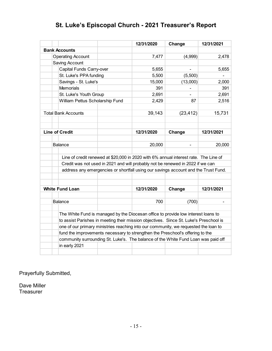# **St. Luke's Episcopal Church - 2021 Treasurer's Report**

|                            |                          |                                                                                                                                                                        | 12/31/2020 | Change         | 12/31/2021 |
|----------------------------|--------------------------|------------------------------------------------------------------------------------------------------------------------------------------------------------------------|------------|----------------|------------|
| <b>Bank Accounts</b>       |                          |                                                                                                                                                                        |            |                |            |
|                            | <b>Operating Account</b> |                                                                                                                                                                        | 7,477      | (4,999)        | 2,478      |
|                            | Saving Account           |                                                                                                                                                                        |            |                |            |
|                            | Capital Funds Carry-over |                                                                                                                                                                        | 5,655      | $\blacksquare$ | 5,655      |
|                            | St. Luke's PPA funding   |                                                                                                                                                                        | 5,500      | (5,500)        |            |
|                            | Savings - St. Luke's     |                                                                                                                                                                        | 15,000     | (13,000)       | 2,000      |
|                            | <b>Memorials</b>         |                                                                                                                                                                        | 391        |                | 391        |
|                            | St. Luke's Youth Group   |                                                                                                                                                                        | 2,691      |                | 2,691      |
|                            |                          | William Pettus Scholarship Fund                                                                                                                                        | 2,429      | 87             | 2,516      |
| <b>Total Bank Accounts</b> |                          |                                                                                                                                                                        | 39,143     | (23, 412)      | 15,731     |
| <b>Line of Credit</b>      |                          |                                                                                                                                                                        | 12/31/2020 | Change         | 12/31/2021 |
| <b>Balance</b>             |                          |                                                                                                                                                                        | 20,000     | $\blacksquare$ | 20,000     |
|                            |                          | Line of credit renewed at \$20,000 in 2020 with 6% annual interest rate. The Line of<br>Credit was not used in 2021 and will probably not be renewed in 2022 if we can |            |                |            |
|                            |                          | address any emergencies or shortfall using our savings account and the Trust Fund.                                                                                     |            |                |            |
| <b>White Fund Loan</b>     |                          |                                                                                                                                                                        | 12/31/2020 | Change         | 12/31/2021 |
| <b>Balance</b>             |                          |                                                                                                                                                                        | 700        | (700)          |            |
|                            |                          | The White Fund is managed by the Diocesan office to provide low interest loans to                                                                                      |            |                |            |
|                            |                          | to assist Parishes in meeting their mission objectives. Since St. Luke's Preschool is                                                                                  |            |                |            |
|                            |                          | one of our primary ministries reaching into our community, we requested the loan to                                                                                    |            |                |            |
|                            |                          | fund the improvements necessary to strengthen the Preschool's offering to the                                                                                          |            |                |            |
|                            |                          | community surrounding St. Luke's. The balance of the White Fund Loan was paid off                                                                                      |            |                |            |
|                            | in early 2021            |                                                                                                                                                                        |            |                |            |

Prayerfully Submitted,

Dave Miller **Treasurer**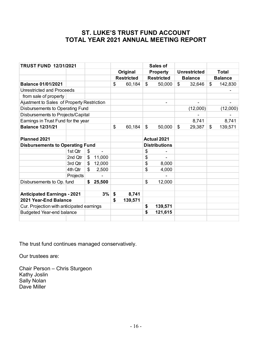# **ST. LUKE'S TRUST FUND ACCOUNT TOTAL YEAR 2021 ANNUAL MEETING REPORT**

| <b>TRUST FUND 12/31/2021</b>               |          |              |                   | Sales of             |                     |                |
|--------------------------------------------|----------|--------------|-------------------|----------------------|---------------------|----------------|
|                                            |          |              | Original          | <b>Property</b>      | <b>Unrestricted</b> | <b>Total</b>   |
|                                            |          |              | <b>Restricted</b> | <b>Restricted</b>    | <b>Balance</b>      | <b>Balance</b> |
| <b>Balance 01/01/2021</b>                  |          |              | \$<br>60,184      | \$<br>50,000         | \$<br>32,646        | \$<br>142,830  |
| Unrestricted and Proceeds                  |          |              |                   |                      |                     |                |
| from sale of property                      |          |              |                   |                      |                     |                |
| Ajustment to Sales of Property Restriction |          |              |                   |                      |                     |                |
| Disbursements to Operating Fund            |          |              |                   |                      | (12,000)            | (12,000)       |
| Disbursements to Projects/Capital          |          |              |                   |                      |                     |                |
| Earnings in Trust Fund for the year        |          |              |                   |                      | 8,741               | 8,741          |
| <b>Balance 12/31/21</b>                    |          |              | \$<br>60,184      | \$<br>50,000         | \$<br>29,387        | \$<br>139,571  |
|                                            |          |              |                   |                      |                     |                |
| Planned 2021                               |          |              |                   | <b>Actual 2021</b>   |                     |                |
| <b>Disbursements to Operating Fund</b>     |          |              |                   | <b>Distributions</b> |                     |                |
|                                            | 1st Qtr  | \$           |                   | \$                   |                     |                |
|                                            | 2nd Qtr  | \$<br>11,000 |                   | \$                   |                     |                |
|                                            | 3rd Qtr  | \$<br>12,000 |                   | \$<br>8,000          |                     |                |
|                                            | 4th Qtr  | \$<br>2,500  |                   | \$<br>4,000          |                     |                |
|                                            | Projects |              |                   |                      |                     |                |
| Disbursements to Op. fund                  |          | \$<br>25,500 |                   | \$<br>12,000         |                     |                |
|                                            |          |              |                   |                      |                     |                |
| <b>Anticipated Earnings - 2021</b>         |          | 3%           | \$<br>8,741       |                      |                     |                |
| 2021 Year-End Balance                      |          |              | \$<br>139,571     |                      |                     |                |
| Cur. Projection with anticipated earnings  |          |              |                   | \$<br>139,571        |                     |                |
| <b>Budgeted Year-end balance</b>           |          |              |                   | \$<br>121,615        |                     |                |
|                                            |          |              |                   |                      |                     |                |

The trust fund continues managed conservatively.

Our trustees are:

Chair Person – Chris Sturgeon Kathy Joslin Sally Nolan Dave Miller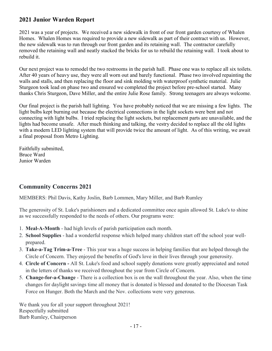## **2021 Junior Warden Report**

2021 was a year of projects. We received a new sidewalk in front of our front garden courtesy of Whalen Homes. Whalen Homes was required to provide a new sidewalk as part of their contract with us. However, the new sidewalk was to run through our front garden and its retaining wall. The contractor carefully removed the retaining wall and neatly stacked the bricks for us to rebuild the retaining wall. I took about to rebuild it.

Our next project was to remodel the two restrooms in the parish hall. Phase one was to replace all six toilets. After 40 years of heavy use, they were all worn out and barely functional. Phase two involved repainting the walls and stalls, and then replacing the floor and sink molding with waterproof synthetic material. Julie Sturgeon took lead on phase two and ensured we completed the project before pre-school started. Many thanks Chris Sturgeon, Dave Miller, and the entire Julie Rose family. Strong teenagers are always welcome.

Our final project is the parish hall lighting. You have probably noticed that we are missing a few lights. The light bulbs kept burning out because the electrical connections in the light sockets were bent and not connecting with light bulbs. I tried replacing the light sockets, but replacement parts are unavailable, and the lights had become unsafe. After much thinking and talking, the vestry decided to replace all the old lights with a modern LED lighting system that will provide twice the amount of light. As of this writing, we await a final proposal from Metro Lighting.

Faithfully submitted, Bruce Ward Junior Warden

## **Community Concerns 2021**

MEMBERS: Phil Davis, Kathy Joslin, Barb Lommen, Mary Miller, and Barb Rumley

The generosity of St. Luke's parishioners and a dedicated committee once again allowed St. Luke's to shine as we successfully responded to the needs of others. Our programs were:

- 1. **Meal-A-Month** had high levels of parish participation each month.
- 2. **School Supplies** had a wonderful response which helped many children start off the school year wellprepared.
- 3. **Take-a-Tag Trim-a-Tree** This year was a huge success in helping families that are helped through the Circle of Concern. They enjoyed the benefits of God's love in their lives through your generosity.
- 4. **Circle of Concern -** All St. Luke's food and school supply donations were greatly appreciated and noted in the letters of thanks we received throughout the year from Circle of Concern.
- 5. **Change-for-a-Change** There is a collection box is on the wall throughout the year. Also, when the time changes for daylight savings time all money that is donated is blessed and donated to the Diocesan Task Force on Hunger. Both the March and the Nov. collections were very generous.

We thank you for all your support throughout 2021! Respectfully submitted Barb Rumley, Chairperson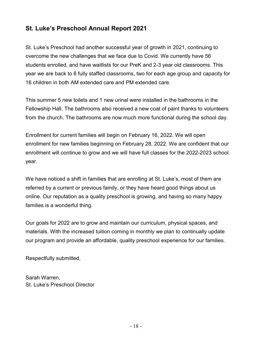# **St. Luke's Preschool Annual Report 2021**

St. Luke's Preschool had another successful year of growth in 2021, continuing to overcome the new challenges that we face due to Covid. We currently have 56 students enrolled, and have waitlists for our PreK and 2-3 year old classrooms. This year we are back to 6 fully staffed classrooms, two for each age group and capacity for 16 children in both AM extended care and PM extended care.

This summer 5 new toilets and 1 new urinal were installed in the bathrooms in the Fellowship Hall. The bathrooms also received a new coat of paint thanks to volunteers from the church. The bathrooms are now much more functional during the school day.

Enrollment for current families will begin on February 16, 2022. We will open enrollment for new families beginning on February 28, 2022. We are confident that our enrollment will continue to grow and we will have full classes for the 2022-2023 school year.

We have noticed a shift in families that are enrolling at St. Luke's, most of them are referred by a current or previous family, or they have heard good things about us online. Our reputation as a quality preschool is growing, and having so many happy families is a wonderful thing.

Our goals for 2022 are to grow and maintain our curriculum, physical spaces, and materials. With the increased tuition coming in monthly we plan to continually update our program and provide an affordable, quality preschool experience for our families.

Respectfully submitted,

Sarah Warren, St. Luke's Preschool Director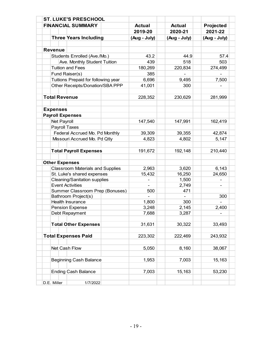|                            | <b>ST. LUKE'S PRESCHOOL</b>             |               |                |              |
|----------------------------|-----------------------------------------|---------------|----------------|--------------|
|                            | <b>FINANCIAL SUMMARY</b>                | <b>Actual</b> | <b>Actual</b>  | Projected    |
|                            |                                         | 2019-20       | 2020-21        | 2021-22      |
|                            | <b>Three Years Including</b>            | (Aug - July)  | (Aug - July)   | (Aug - July) |
|                            |                                         |               |                |              |
| <b>Revenue</b>             |                                         |               |                |              |
|                            | Students Enrolled (Ave./Mo.)            | 43.2          | 44.9           | 57.4         |
|                            | Ave. Monthly Student Tuition            | 439           | 518            | 503          |
| <b>Tuition and Fees</b>    |                                         | 180,269       | 220,834        | 274,499      |
| Fund Raiser(s)             |                                         | 385           |                |              |
|                            | Tuitions Prepaid for following year     | 6,696         | 9,495          | 7,500        |
|                            | Other Receipts/Donation/SBA PPP         | 41,001        | 300            |              |
|                            |                                         |               |                |              |
| <b>Total Revenue</b>       |                                         | 228,352       | 230,629        | 281,999      |
|                            |                                         |               |                |              |
| <b>Expenses</b>            |                                         |               |                |              |
| <b>Payroll Expenses</b>    |                                         |               |                |              |
| Net Payroll                |                                         | 147,540       | 147,991        | 162,419      |
| Payroll Taxes              |                                         |               |                |              |
|                            | Federal Accrued Mo. Pd Monthly          | 39,309        | 39,355         | 42,874       |
|                            | Missouri Accrued Mo. Pd Qtly            | 4,823         | 4,802          | 5,147        |
|                            |                                         |               |                |              |
|                            | <b>Total Payroll Expenses</b>           | 191,672       | 192,148        | 210,440      |
|                            |                                         |               |                |              |
| <b>Other Expenses</b>      |                                         |               |                |              |
|                            | <b>Classroom Materials and Supplies</b> | 2,963         | 3,620          | 6,143        |
|                            | St. Luke's shared expenses              | 15,432        | 16,250         | 24,650       |
| <b>Event Activities</b>    | <b>Cleaning/Sanitation supplies</b>     |               | 1,500<br>2,749 |              |
|                            | Summer Classroom Prep (Bonuses)         | 500           | 471            |              |
|                            | Bathroom Project(s)                     |               |                | 300          |
| Health Insurance           |                                         | 1,800         | 300            |              |
| <b>Pension Expense</b>     |                                         | 3,248         | 2,145          | 2,400        |
| Debt Repayment             |                                         | 7,688         | 3,287          |              |
|                            |                                         |               |                |              |
|                            | <b>Total Other Expenses</b>             | 31,631        | 30,322         | 33,493       |
|                            |                                         |               |                |              |
| <b>Total Expenses Paid</b> |                                         | 223,302       | 222,469        | 243,932      |
|                            |                                         |               |                |              |
| Net Cash Flow              |                                         | 5,050         | 8,160          | 38,067       |
|                            |                                         |               |                |              |
|                            | <b>Beginning Cash Balance</b>           | 1,953         | 7,003          | 15,163       |
|                            |                                         |               |                |              |
|                            | <b>Ending Cash Balance</b>              | 7,003         | 15,163         | 53,230       |
|                            |                                         |               |                |              |
| D.E. Miller                | 1/7/2022                                |               |                |              |